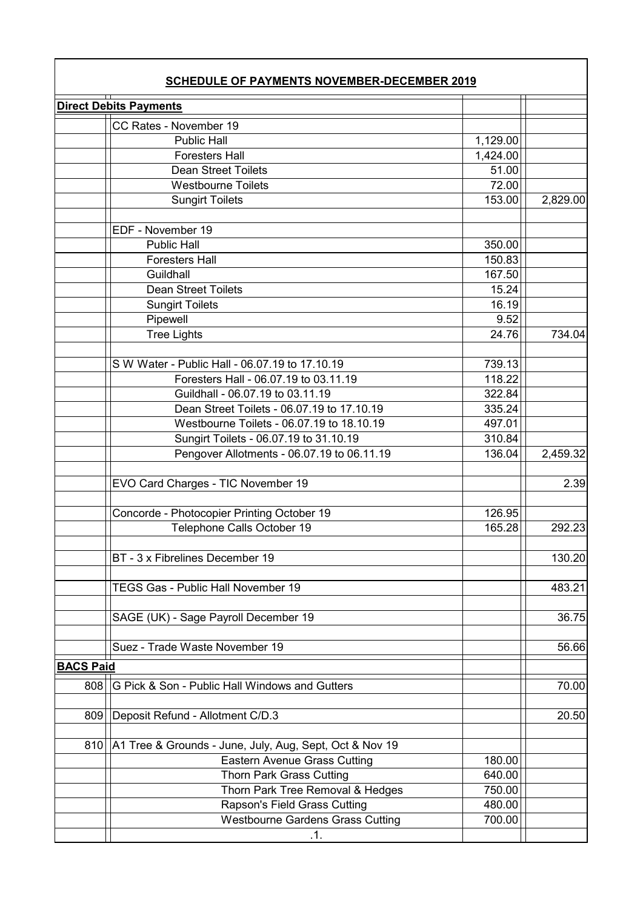| <b>SCHEDULE OF PAYMENTS NOVEMBER-DECEMBER 2019</b><br><b>Direct Debits Payments</b> |                                                         |          |          |  |  |
|-------------------------------------------------------------------------------------|---------------------------------------------------------|----------|----------|--|--|
|                                                                                     |                                                         |          |          |  |  |
|                                                                                     | <b>Public Hall</b>                                      | 1,129.00 |          |  |  |
|                                                                                     | <b>Foresters Hall</b>                                   | 1,424.00 |          |  |  |
|                                                                                     | <b>Dean Street Toilets</b>                              | 51.00    |          |  |  |
|                                                                                     | <b>Westbourne Toilets</b>                               | 72.00    |          |  |  |
|                                                                                     | <b>Sungirt Toilets</b>                                  | 153.00   | 2,829.00 |  |  |
|                                                                                     |                                                         |          |          |  |  |
|                                                                                     | EDF - November 19                                       |          |          |  |  |
|                                                                                     | <b>Public Hall</b>                                      | 350.00   |          |  |  |
|                                                                                     | <b>Foresters Hall</b>                                   | 150.83   |          |  |  |
|                                                                                     | Guildhall                                               | 167.50   |          |  |  |
|                                                                                     | Dean Street Toilets                                     | 15.24    |          |  |  |
|                                                                                     | <b>Sungirt Toilets</b>                                  | 16.19    |          |  |  |
|                                                                                     | Pipewell                                                | 9.52     |          |  |  |
|                                                                                     | <b>Tree Lights</b>                                      | 24.76    | 734.04   |  |  |
|                                                                                     |                                                         |          |          |  |  |
|                                                                                     | S W Water - Public Hall - 06.07.19 to 17.10.19          | 739.13   |          |  |  |
|                                                                                     | Foresters Hall - 06.07.19 to 03.11.19                   | 118.22   |          |  |  |
|                                                                                     | Guildhall - 06.07.19 to 03.11.19                        | 322.84   |          |  |  |
|                                                                                     | Dean Street Toilets - 06.07.19 to 17.10.19              | 335.24   |          |  |  |
|                                                                                     | Westbourne Toilets - 06.07.19 to 18.10.19               | 497.01   |          |  |  |
|                                                                                     | Sungirt Toilets - 06.07.19 to 31.10.19                  | 310.84   |          |  |  |
|                                                                                     | Pengover Allotments - 06.07.19 to 06.11.19              | 136.04   | 2,459.32 |  |  |
|                                                                                     | EVO Card Charges - TIC November 19                      |          | 2.39     |  |  |
|                                                                                     | Concorde - Photocopier Printing October 19              | 126.95   |          |  |  |
|                                                                                     | Telephone Calls October 19                              | 165.28   | 292.23   |  |  |
|                                                                                     |                                                         |          |          |  |  |
|                                                                                     | BT - 3 x Fibrelines December 19                         |          | 130.20   |  |  |
|                                                                                     | TEGS Gas - Public Hall November 19                      |          | 483.21   |  |  |
|                                                                                     | SAGE (UK) - Sage Payroll December 19                    |          | 36.75    |  |  |
|                                                                                     | Suez - Trade Waste November 19                          |          | 56.66    |  |  |
| <b>BACS Paid</b>                                                                    |                                                         |          |          |  |  |
| 808                                                                                 | G Pick & Son - Public Hall Windows and Gutters          |          | 70.00    |  |  |
| 809                                                                                 | Deposit Refund - Allotment C/D.3                        |          | 20.50    |  |  |
| 810                                                                                 | A1 Tree & Grounds - June, July, Aug, Sept, Oct & Nov 19 |          |          |  |  |
|                                                                                     | <b>Eastern Avenue Grass Cutting</b>                     | 180.00   |          |  |  |
|                                                                                     | <b>Thorn Park Grass Cutting</b>                         | 640.00   |          |  |  |
|                                                                                     | Thorn Park Tree Removal & Hedges                        | 750.00   |          |  |  |
|                                                                                     | Rapson's Field Grass Cutting                            | 480.00   |          |  |  |
|                                                                                     | <b>Westbourne Gardens Grass Cutting</b>                 | 700.00   |          |  |  |
|                                                                                     | .1.                                                     |          |          |  |  |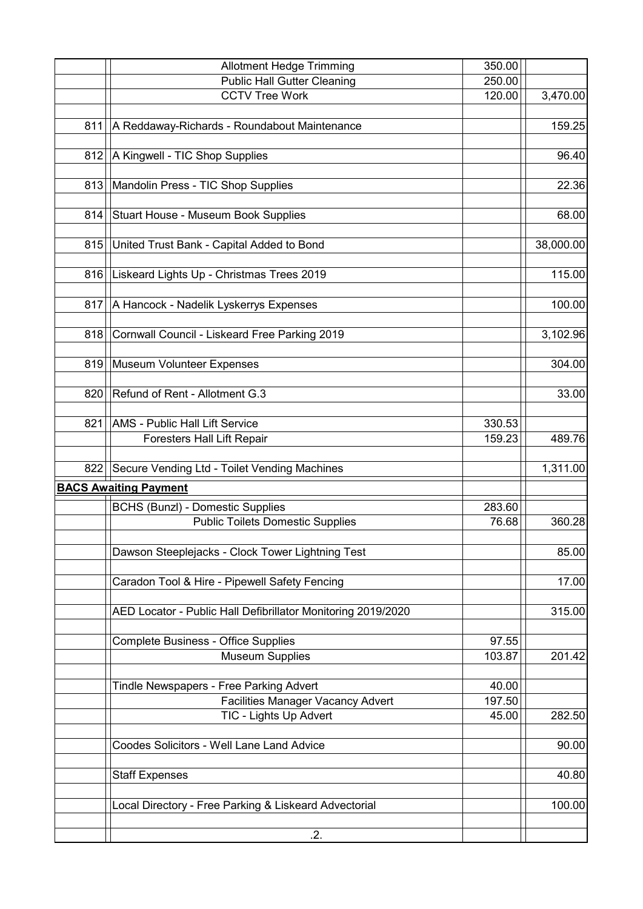|     | <b>Allotment Hedge Trimming</b>                              | 350.00 |           |
|-----|--------------------------------------------------------------|--------|-----------|
|     | <b>Public Hall Gutter Cleaning</b>                           | 250.00 |           |
|     | <b>CCTV Tree Work</b>                                        | 120.00 | 3,470.00  |
|     |                                                              |        |           |
| 811 | A Reddaway-Richards - Roundabout Maintenance                 |        | 159.25    |
|     |                                                              |        |           |
| 812 | A Kingwell - TIC Shop Supplies                               |        | 96.40     |
|     |                                                              |        |           |
| 813 | Mandolin Press - TIC Shop Supplies                           |        | 22.36     |
|     |                                                              |        |           |
| 814 | Stuart House - Museum Book Supplies                          |        | 68.00     |
|     |                                                              |        |           |
| 815 | United Trust Bank - Capital Added to Bond                    |        | 38,000.00 |
|     |                                                              |        |           |
| 816 | Liskeard Lights Up - Christmas Trees 2019                    |        | 115.00    |
|     |                                                              |        |           |
|     |                                                              |        |           |
| 817 | A Hancock - Nadelik Lyskerrys Expenses                       |        | 100.00    |
|     |                                                              |        |           |
| 818 | Cornwall Council - Liskeard Free Parking 2019                |        | 3,102.96  |
|     |                                                              |        |           |
| 819 | <b>Museum Volunteer Expenses</b>                             |        | 304.00    |
|     |                                                              |        |           |
| 820 | Refund of Rent - Allotment G.3                               |        | 33.00     |
|     |                                                              |        |           |
| 821 | <b>AMS - Public Hall Lift Service</b>                        | 330.53 |           |
|     | <b>Foresters Hall Lift Repair</b>                            | 159.23 | 489.76    |
|     |                                                              |        |           |
| 822 | Secure Vending Ltd - Toilet Vending Machines                 |        | 1,311.00  |
|     | <b>BACS Awaiting Payment</b>                                 |        |           |
|     |                                                              |        |           |
|     | <b>BCHS (Bunzl) - Domestic Supplies</b>                      | 283.60 |           |
|     | <b>Public Toilets Domestic Supplies</b>                      | 76.68  | 360.28    |
|     |                                                              |        |           |
|     | Dawson Steeplejacks - Clock Tower Lightning Test             |        | 85.00     |
|     |                                                              |        |           |
|     | Caradon Tool & Hire - Pipewell Safety Fencing                |        | 17.00     |
|     |                                                              |        |           |
|     | AED Locator - Public Hall Defibrillator Monitoring 2019/2020 |        | 315.00    |
|     |                                                              |        |           |
|     | <b>Complete Business - Office Supplies</b>                   | 97.55  |           |
|     | <b>Museum Supplies</b>                                       | 103.87 | 201.42    |
|     |                                                              |        |           |
|     |                                                              |        |           |
|     |                                                              |        |           |
|     | Tindle Newspapers - Free Parking Advert                      | 40.00  |           |
|     | <b>Facilities Manager Vacancy Advert</b>                     | 197.50 |           |
|     | TIC - Lights Up Advert                                       | 45.00  | 282.50    |
|     |                                                              |        |           |
|     | Coodes Solicitors - Well Lane Land Advice                    |        | 90.00     |
|     |                                                              |        |           |
|     | <b>Staff Expenses</b>                                        |        | 40.80     |
|     |                                                              |        |           |
|     | Local Directory - Free Parking & Liskeard Advectorial        |        | 100.00    |
|     | .2.                                                          |        |           |